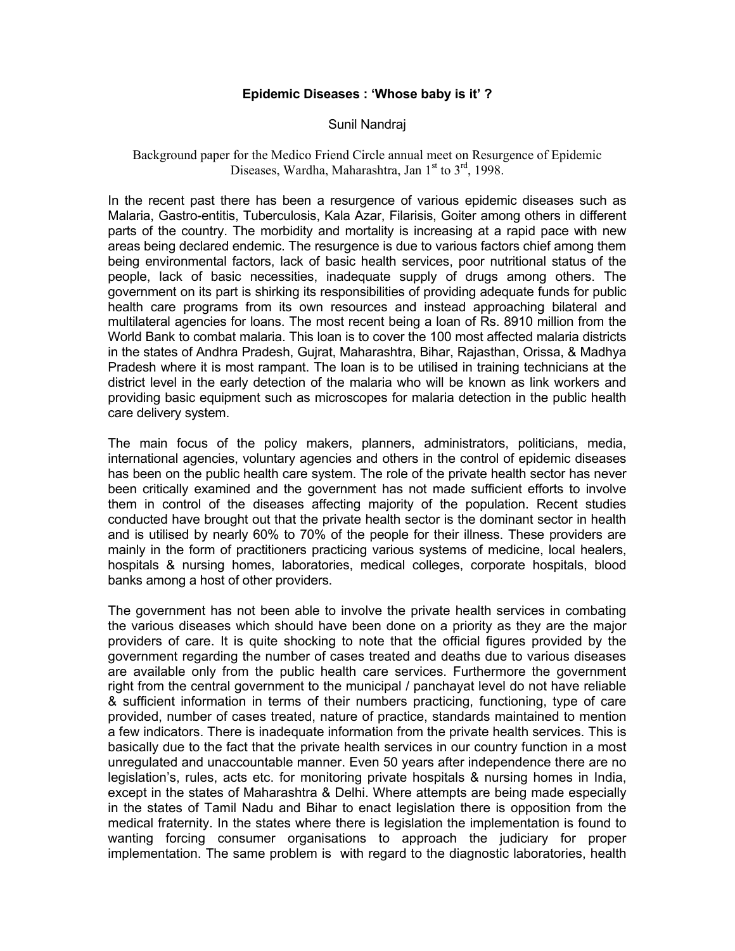## **Epidemic Diseases : 'Whose baby is it' ?**

## Sunil Nandraj

## Background paper for the Medico Friend Circle annual meet on Resurgence of Epidemic Diseases, Wardha, Maharashtra, Jan  $1<sup>st</sup>$  to  $3<sup>rd</sup>$ , 1998.

In the recent past there has been a resurgence of various epidemic diseases such as Malaria, Gastro-entitis, Tuberculosis, Kala Azar, Filarisis, Goiter among others in different parts of the country. The morbidity and mortality is increasing at a rapid pace with new areas being declared endemic. The resurgence is due to various factors chief among them being environmental factors, lack of basic health services, poor nutritional status of the people, lack of basic necessities, inadequate supply of drugs among others. The government on its part is shirking its responsibilities of providing adequate funds for public health care programs from its own resources and instead approaching bilateral and multilateral agencies for loans. The most recent being a loan of Rs. 8910 million from the World Bank to combat malaria. This loan is to cover the 100 most affected malaria districts in the states of Andhra Pradesh, Gujrat, Maharashtra, Bihar, Rajasthan, Orissa, & Madhya Pradesh where it is most rampant. The loan is to be utilised in training technicians at the district level in the early detection of the malaria who will be known as link workers and providing basic equipment such as microscopes for malaria detection in the public health care delivery system.

The main focus of the policy makers, planners, administrators, politicians, media, international agencies, voluntary agencies and others in the control of epidemic diseases has been on the public health care system. The role of the private health sector has never been critically examined and the government has not made sufficient efforts to involve them in control of the diseases affecting majority of the population. Recent studies conducted have brought out that the private health sector is the dominant sector in health and is utilised by nearly 60% to 70% of the people for their illness. These providers are mainly in the form of practitioners practicing various systems of medicine, local healers, hospitals & nursing homes, laboratories, medical colleges, corporate hospitals, blood banks among a host of other providers.

The government has not been able to involve the private health services in combating the various diseases which should have been done on a priority as they are the major providers of care. It is quite shocking to note that the official figures provided by the government regarding the number of cases treated and deaths due to various diseases are available only from the public health care services. Furthermore the government right from the central government to the municipal / panchayat level do not have reliable & sufficient information in terms of their numbers practicing, functioning, type of care provided, number of cases treated, nature of practice, standards maintained to mention a few indicators. There is inadequate information from the private health services. This is basically due to the fact that the private health services in our country function in a most unregulated and unaccountable manner. Even 50 years after independence there are no legislation's, rules, acts etc. for monitoring private hospitals & nursing homes in India, except in the states of Maharashtra & Delhi. Where attempts are being made especially in the states of Tamil Nadu and Bihar to enact legislation there is opposition from the medical fraternity. In the states where there is legislation the implementation is found to wanting forcing consumer organisations to approach the judiciary for proper implementation. The same problem is with regard to the diagnostic laboratories, health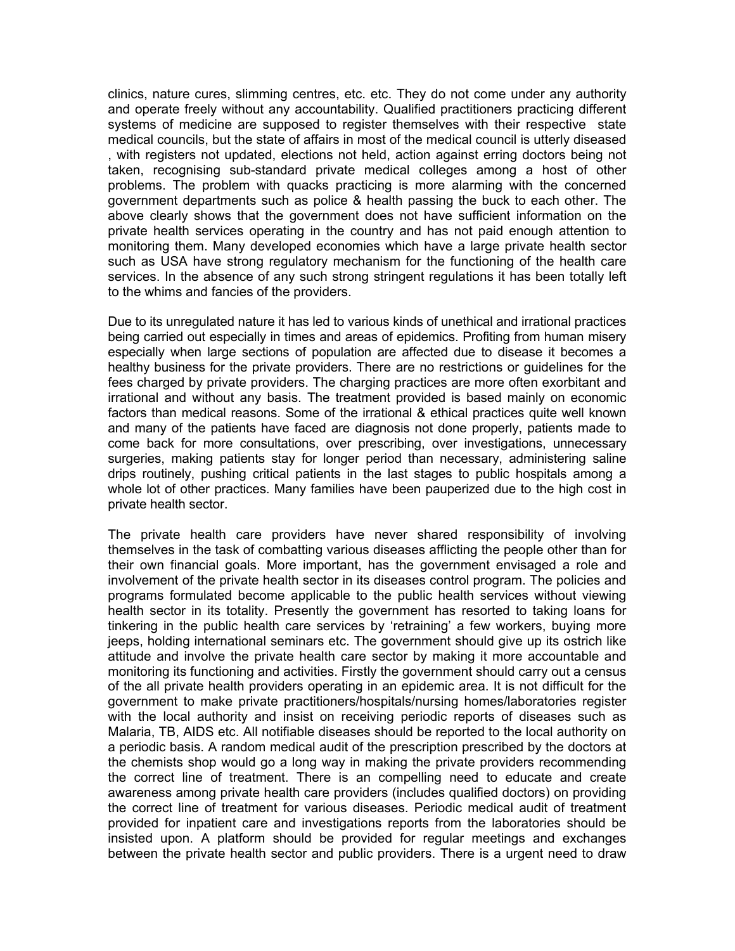clinics, nature cures, slimming centres, etc. etc. They do not come under any authority and operate freely without any accountability. Qualified practitioners practicing different systems of medicine are supposed to register themselves with their respective state medical councils, but the state of affairs in most of the medical council is utterly diseased , with registers not updated, elections not held, action against erring doctors being not taken, recognising sub-standard private medical colleges among a host of other problems. The problem with quacks practicing is more alarming with the concerned government departments such as police & health passing the buck to each other. The above clearly shows that the government does not have sufficient information on the private health services operating in the country and has not paid enough attention to monitoring them. Many developed economies which have a large private health sector such as USA have strong regulatory mechanism for the functioning of the health care services. In the absence of any such strong stringent regulations it has been totally left to the whims and fancies of the providers.

Due to its unregulated nature it has led to various kinds of unethical and irrational practices being carried out especially in times and areas of epidemics. Profiting from human misery especially when large sections of population are affected due to disease it becomes a healthy business for the private providers. There are no restrictions or guidelines for the fees charged by private providers. The charging practices are more often exorbitant and irrational and without any basis. The treatment provided is based mainly on economic factors than medical reasons. Some of the irrational & ethical practices quite well known and many of the patients have faced are diagnosis not done properly, patients made to come back for more consultations, over prescribing, over investigations, unnecessary surgeries, making patients stay for longer period than necessary, administering saline drips routinely, pushing critical patients in the last stages to public hospitals among a whole lot of other practices. Many families have been pauperized due to the high cost in private health sector.

The private health care providers have never shared responsibility of involving themselves in the task of combatting various diseases afflicting the people other than for their own financial goals. More important, has the government envisaged a role and involvement of the private health sector in its diseases control program. The policies and programs formulated become applicable to the public health services without viewing health sector in its totality. Presently the government has resorted to taking loans for tinkering in the public health care services by 'retraining' a few workers, buying more jeeps, holding international seminars etc. The government should give up its ostrich like attitude and involve the private health care sector by making it more accountable and monitoring its functioning and activities. Firstly the government should carry out a census of the all private health providers operating in an epidemic area. It is not difficult for the government to make private practitioners/hospitals/nursing homes/laboratories register with the local authority and insist on receiving periodic reports of diseases such as Malaria, TB, AIDS etc. All notifiable diseases should be reported to the local authority on a periodic basis. A random medical audit of the prescription prescribed by the doctors at the chemists shop would go a long way in making the private providers recommending the correct line of treatment. There is an compelling need to educate and create awareness among private health care providers (includes qualified doctors) on providing the correct line of treatment for various diseases. Periodic medical audit of treatment provided for inpatient care and investigations reports from the laboratories should be insisted upon. A platform should be provided for regular meetings and exchanges between the private health sector and public providers. There is a urgent need to draw